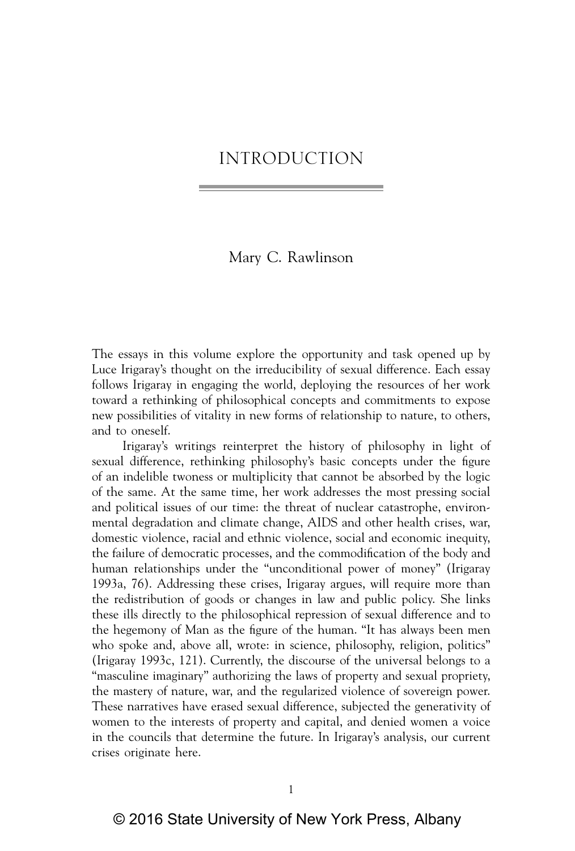# Mary C. Rawlinson

The essays in this volume explore the opportunity and task opened up by Luce Irigaray's thought on the irreducibility of sexual difference. Each essay follows Irigaray in engaging the world, deploying the resources of her work toward a rethinking of philosophical concepts and commitments to expose new possibilities of vitality in new forms of relationship to nature, to others, and to oneself.

Irigaray's writings reinterpret the history of philosophy in light of sexual difference, rethinking philosophy's basic concepts under the figure of an indelible twoness or multiplicity that cannot be absorbed by the logic of the same. At the same time, her work addresses the most pressing social and political issues of our time: the threat of nuclear catastrophe, environmental degradation and climate change, AIDS and other health crises, war, domestic violence, racial and ethnic violence, social and economic inequity, the failure of democratic processes, and the commodification of the body and human relationships under the "unconditional power of money" (Irigaray 1993a, 76). Addressing these crises, Irigaray argues, will require more than the redistribution of goods or changes in law and public policy. She links these ills directly to the philosophical repression of sexual difference and to the hegemony of Man as the figure of the human. "It has always been men who spoke and, above all, wrote: in science, philosophy, religion, politics" (Irigaray 1993c, 121). Currently, the discourse of the universal belongs to a "masculine imaginary" authorizing the laws of property and sexual propriety, the mastery of nature, war, and the regularized violence of sovereign power. These narratives have erased sexual difference, subjected the generativity of women to the interests of property and capital, and denied women a voice in the councils that determine the future. In Irigaray's analysis, our current crises originate here.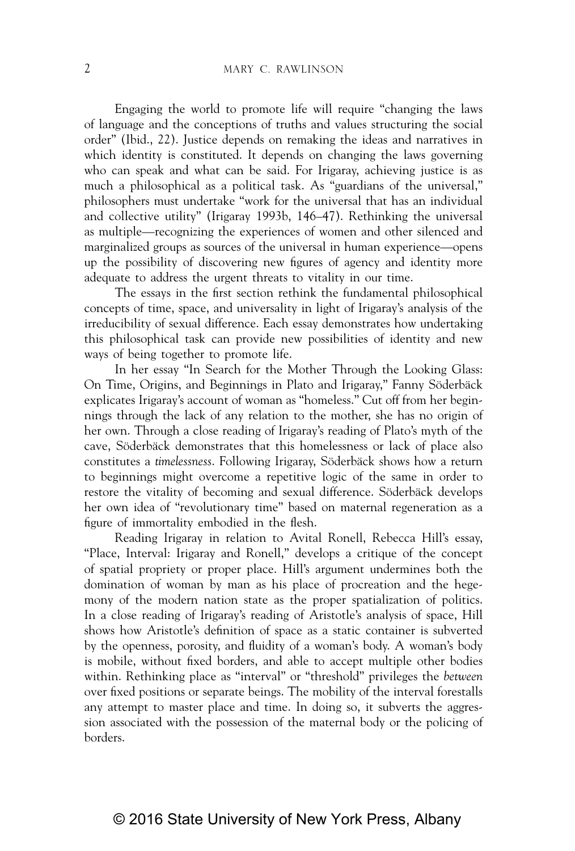Engaging the world to promote life will require "changing the laws of language and the conceptions of truths and values structuring the social order" (Ibid., 22). Justice depends on remaking the ideas and narratives in which identity is constituted. It depends on changing the laws governing who can speak and what can be said. For Irigaray, achieving justice is as much a philosophical as a political task. As "guardians of the universal," philosophers must undertake "work for the universal that has an individual and collective utility" (Irigaray 1993b, 146–47). Rethinking the universal as multiple—recognizing the experiences of women and other silenced and marginalized groups as sources of the universal in human experience—opens up the possibility of discovering new figures of agency and identity more adequate to address the urgent threats to vitality in our time.

The essays in the first section rethink the fundamental philosophical concepts of time, space, and universality in light of Irigaray's analysis of the irreducibility of sexual difference. Each essay demonstrates how undertaking this philosophical task can provide new possibilities of identity and new ways of being together to promote life.

In her essay "In Search for the Mother Through the Looking Glass: On Time, Origins, and Beginnings in Plato and Irigaray," Fanny Söderbäck explicates Irigaray's account of woman as "homeless." Cut off from her beginnings through the lack of any relation to the mother, she has no origin of her own. Through a close reading of Irigaray's reading of Plato's myth of the cave, Söderbäck demonstrates that this homelessness or lack of place also constitutes a *timelessness*. Following Irigaray, Söderbäck shows how a return to beginnings might overcome a repetitive logic of the same in order to restore the vitality of becoming and sexual difference. Söderbäck develops her own idea of "revolutionary time" based on maternal regeneration as a figure of immortality embodied in the flesh.

Reading Irigaray in relation to Avital Ronell, Rebecca Hill's essay, "Place, Interval: Irigaray and Ronell," develops a critique of the concept of spatial propriety or proper place. Hill's argument undermines both the domination of woman by man as his place of procreation and the hegemony of the modern nation state as the proper spatialization of politics. In a close reading of Irigaray's reading of Aristotle's analysis of space, Hill shows how Aristotle's definition of space as a static container is subverted by the openness, porosity, and fluidity of a woman's body. A woman's body is mobile, without fixed borders, and able to accept multiple other bodies within. Rethinking place as "interval" or "threshold" privileges the *between*  over fixed positions or separate beings. The mobility of the interval forestalls any attempt to master place and time. In doing so, it subverts the aggression associated with the possession of the maternal body or the policing of borders.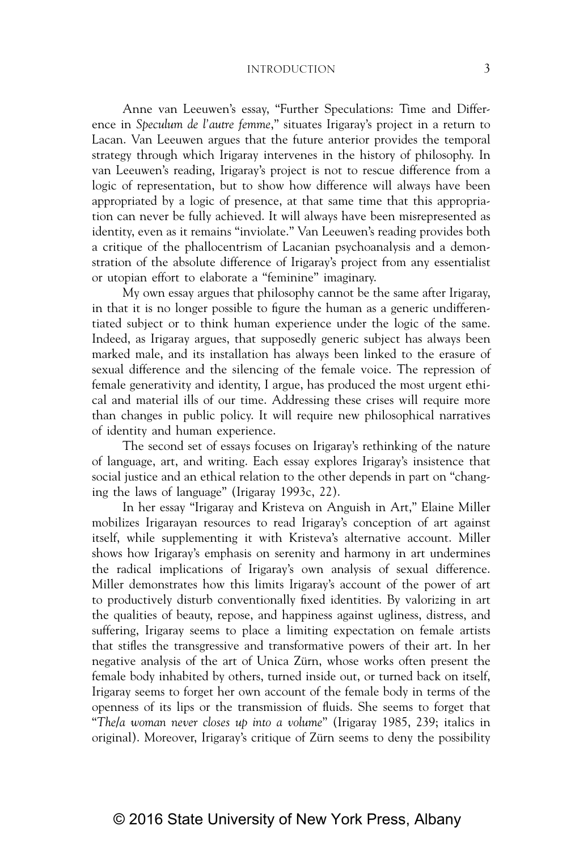Anne van Leeuwen's essay, "Further Speculations: Time and Difference in *Speculum de l'autre femme*," situates Irigaray's project in a return to Lacan. Van Leeuwen argues that the future anterior provides the temporal strategy through which Irigaray intervenes in the history of philosophy. In van Leeuwen's reading, Irigaray's project is not to rescue difference from a logic of representation, but to show how difference will always have been appropriated by a logic of presence, at that same time that this appropriation can never be fully achieved. It will always have been misrepresented as identity, even as it remains "inviolate." Van Leeuwen's reading provides both a critique of the phallocentrism of Lacanian psychoanalysis and a demonstration of the absolute difference of Irigaray's project from any essentialist or utopian effort to elaborate a "feminine" imaginary.

My own essay argues that philosophy cannot be the same after Irigaray, in that it is no longer possible to figure the human as a generic undifferentiated subject or to think human experience under the logic of the same. Indeed, as Irigaray argues, that supposedly generic subject has always been marked male, and its installation has always been linked to the erasure of sexual difference and the silencing of the female voice. The repression of female generativity and identity, I argue, has produced the most urgent ethical and material ills of our time. Addressing these crises will require more than changes in public policy. It will require new philosophical narratives of identity and human experience.

The second set of essays focuses on Irigaray's rethinking of the nature of language, art, and writing. Each essay explores Irigaray's insistence that social justice and an ethical relation to the other depends in part on "changing the laws of language" (Irigaray 1993c, 22).

In her essay "Irigaray and Kristeva on Anguish in Art," Elaine Miller mobilizes Irigarayan resources to read Irigaray's conception of art against itself, while supplementing it with Kristeva's alternative account. Miller shows how Irigaray's emphasis on serenity and harmony in art undermines the radical implications of Irigaray's own analysis of sexual difference. Miller demonstrates how this limits Irigaray's account of the power of art to productively disturb conventionally fixed identities. By valorizing in art the qualities of beauty, repose, and happiness against ugliness, distress, and suffering, Irigaray seems to place a limiting expectation on female artists that stifles the transgressive and transformative powers of their art. In her negative analysis of the art of Unica Zürn, whose works often present the female body inhabited by others, turned inside out, or turned back on itself, Irigaray seems to forget her own account of the female body in terms of the openness of its lips or the transmission of fluids. She seems to forget that "*The/a woman never closes up into a volume*" (Irigaray 1985, 239; italics in original). Moreover, Irigaray's critique of Zürn seems to deny the possibility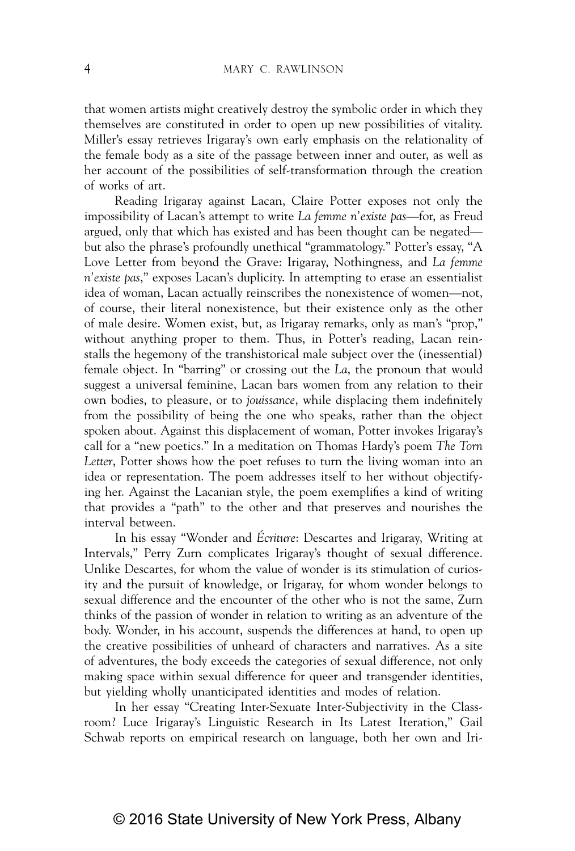that women artists might creatively destroy the symbolic order in which they themselves are constituted in order to open up new possibilities of vitality. Miller's essay retrieves Irigaray's own early emphasis on the relationality of the female body as a site of the passage between inner and outer, as well as her account of the possibilities of self-transformation through the creation of works of art.

Reading Irigaray against Lacan, Claire Potter exposes not only the impossibility of Lacan's attempt to write *La femme n'existe pas*—for, as Freud argued, only that which has existed and has been thought can be negated but also the phrase's profoundly unethical "grammatology." Potter's essay, "A Love Letter from beyond the Grave: Irigaray, Nothingness, and *La femme n'existe pas*," exposes Lacan's duplicity. In attempting to erase an essentialist idea of woman, Lacan actually reinscribes the nonexistence of women—not, of course, their literal nonexistence, but their existence only as the other of male desire. Women exist, but, as Irigaray remarks, only as man's "prop," without anything proper to them. Thus, in Potter's reading, Lacan reinstalls the hegemony of the transhistorical male subject over the (inessential) female object. In "barring" or crossing out the *La*, the pronoun that would suggest a universal feminine, Lacan bars women from any relation to their own bodies, to pleasure, or to *jouissance*, while displacing them indefinitely from the possibility of being the one who speaks, rather than the object spoken about. Against this displacement of woman, Potter invokes Irigaray's call for a "new poetics." In a meditation on Thomas Hardy's poem *The Torn Letter*, Potter shows how the poet refuses to turn the living woman into an idea or representation. The poem addresses itself to her without objectifying her. Against the Lacanian style, the poem exemplifies a kind of writing that provides a "path" to the other and that preserves and nourishes the interval between.

In his essay "Wonder and *Écriture*: Descartes and Irigaray, Writing at Intervals," Perry Zurn complicates Irigaray's thought of sexual difference. Unlike Descartes, for whom the value of wonder is its stimulation of curiosity and the pursuit of knowledge, or Irigaray, for whom wonder belongs to sexual difference and the encounter of the other who is not the same, Zurn thinks of the passion of wonder in relation to writing as an adventure of the body. Wonder, in his account, suspends the differences at hand, to open up the creative possibilities of unheard of characters and narratives. As a site of adventures, the body exceeds the categories of sexual difference, not only making space within sexual difference for queer and transgender identities, but yielding wholly unanticipated identities and modes of relation.

In her essay "Creating Inter-Sexuate Inter-Subjectivity in the Classroom? Luce Irigaray's Linguistic Research in Its Latest Iteration," Gail Schwab reports on empirical research on language, both her own and Iri-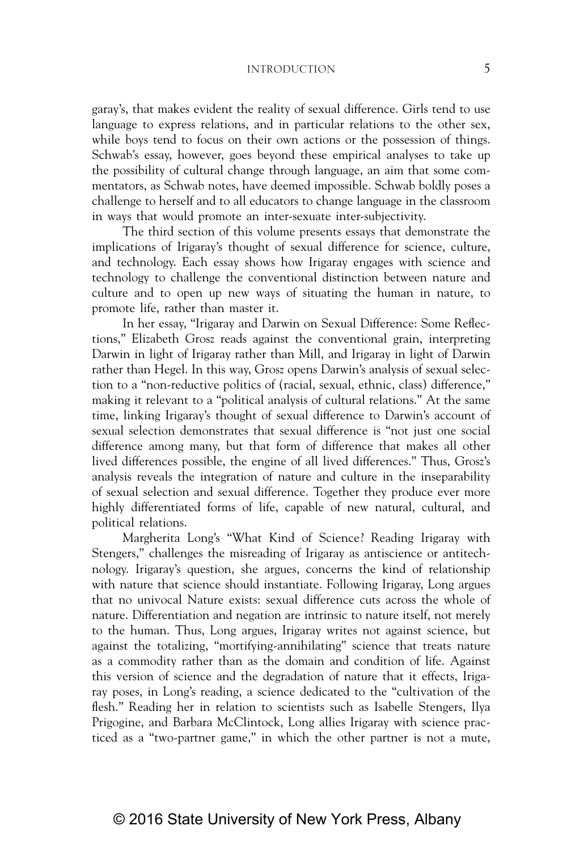garay's, that makes evident the reality of sexual difference. Girls tend to use language to express relations, and in particular relations to the other sex, while boys tend to focus on their own actions or the possession of things. Schwab's essay, however, goes beyond these empirical analyses to take up the possibility of cultural change through language, an aim that some commentators, as Schwab notes, have deemed impossible. Schwab boldly poses a challenge to herself and to all educators to change language in the classroom in ways that would promote an inter-sexuate inter-subjectivity.

The third section of this volume presents essays that demonstrate the implications of Irigaray's thought of sexual difference for science, culture, and technology. Each essay shows how Irigaray engages with science and technology to challenge the conventional distinction between nature and culture and to open up new ways of situating the human in nature, to promote life, rather than master it.

In her essay, "Irigaray and Darwin on Sexual Difference: Some Reflections," Elizabeth Grosz reads against the conventional grain, interpreting Darwin in light of Irigaray rather than Mill, and Irigaray in light of Darwin rather than Hegel. In this way, Grosz opens Darwin's analysis of sexual selection to a "non-reductive politics of (racial, sexual, ethnic, class) difference," making it relevant to a "political analysis of cultural relations." At the same time, linking Irigaray's thought of sexual difference to Darwin's account of sexual selection demonstrates that sexual difference is "not just one social difference among many, but that form of difference that makes all other lived differences possible, the engine of all lived differences." Thus, Grosz's analysis reveals the integration of nature and culture in the inseparability of sexual selection and sexual difference. Together they produce ever more highly differentiated forms of life, capable of new natural, cultural, and political relations.

Margherita Long's "What Kind of Science? Reading Irigaray with Stengers," challenges the misreading of Irigaray as antiscience or antitechnology. Irigaray's question, she argues, concerns the kind of relationship with nature that science should instantiate. Following Irigaray, Long argues that no univocal Nature exists: sexual difference cuts across the whole of nature. Differentiation and negation are intrinsic to nature itself, not merely to the human. Thus, Long argues, Irigaray writes not against science, but against the totalizing, "mortifying-annihilating" science that treats nature as a commodity rather than as the domain and condition of life. Against this version of science and the degradation of nature that it effects, Irigaray poses, in Long's reading, a science dedicated to the "cultivation of the flesh." Reading her in relation to scientists such as Isabelle Stengers, Ilya Prigogine, and Barbara McClintock, Long allies Irigaray with science practiced as a "two-partner game," in which the other partner is not a mute,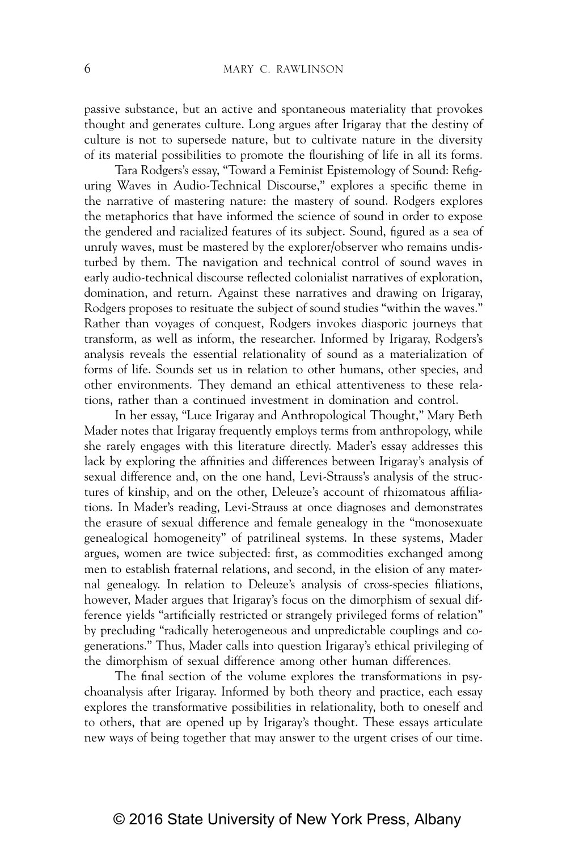passive substance, but an active and spontaneous materiality that provokes thought and generates culture. Long argues after Irigaray that the destiny of culture is not to supersede nature, but to cultivate nature in the diversity of its material possibilities to promote the flourishing of life in all its forms.

Tara Rodgers's essay, "Toward a Feminist Epistemology of Sound: Refiguring Waves in Audio-Technical Discourse," explores a specific theme in the narrative of mastering nature: the mastery of sound. Rodgers explores the metaphorics that have informed the science of sound in order to expose the gendered and racialized features of its subject. Sound, figured as a sea of unruly waves, must be mastered by the explorer/observer who remains undisturbed by them. The navigation and technical control of sound waves in early audio-technical discourse reflected colonialist narratives of exploration, domination, and return. Against these narratives and drawing on Irigaray, Rodgers proposes to resituate the subject of sound studies "within the waves." Rather than voyages of conquest, Rodgers invokes diasporic journeys that transform, as well as inform, the researcher. Informed by Irigaray, Rodgers's analysis reveals the essential relationality of sound as a materialization of forms of life. Sounds set us in relation to other humans, other species, and other environments. They demand an ethical attentiveness to these relations, rather than a continued investment in domination and control.

In her essay, "Luce Irigaray and Anthropological Thought," Mary Beth Mader notes that Irigaray frequently employs terms from anthropology, while she rarely engages with this literature directly. Mader's essay addresses this lack by exploring the affinities and differences between Irigaray's analysis of sexual difference and, on the one hand, Levi-Strauss's analysis of the structures of kinship, and on the other, Deleuze's account of rhizomatous affiliations. In Mader's reading, Levi-Strauss at once diagnoses and demonstrates the erasure of sexual difference and female genealogy in the "monosexuate genealogical homogeneity" of patrilineal systems. In these systems, Mader argues, women are twice subjected: first, as commodities exchanged among men to establish fraternal relations, and second, in the elision of any maternal genealogy. In relation to Deleuze's analysis of cross-species filiations, however, Mader argues that Irigaray's focus on the dimorphism of sexual difference yields "artificially restricted or strangely privileged forms of relation" by precluding "radically heterogeneous and unpredictable couplings and cogenerations." Thus, Mader calls into question Irigaray's ethical privileging of the dimorphism of sexual difference among other human differences.

The final section of the volume explores the transformations in psychoanalysis after Irigaray. Informed by both theory and practice, each essay explores the transformative possibilities in relationality, both to oneself and to others, that are opened up by Irigaray's thought. These essays articulate new ways of being together that may answer to the urgent crises of our time.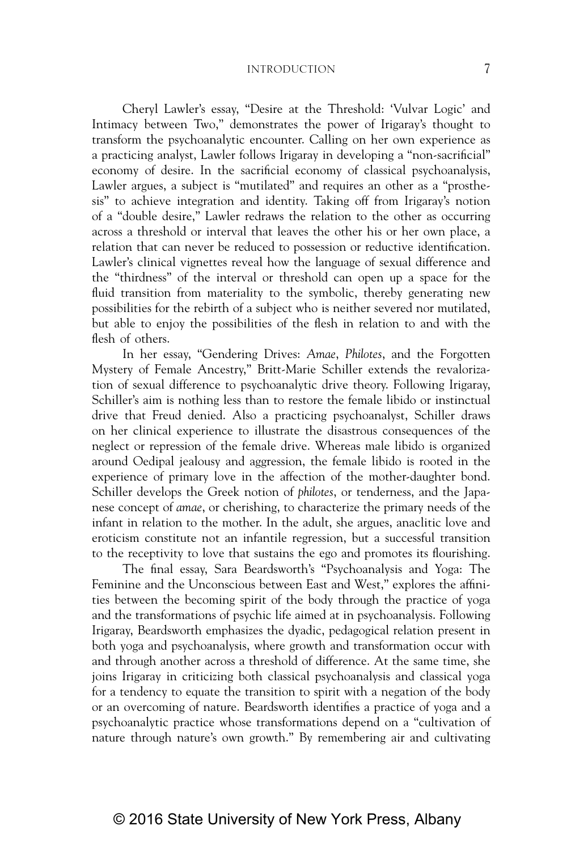Cheryl Lawler's essay, "Desire at the Threshold: 'Vulvar Logic' and Intimacy between Two," demonstrates the power of Irigaray's thought to transform the psychoanalytic encounter. Calling on her own experience as a practicing analyst, Lawler follows Irigaray in developing a "non-sacrificial" economy of desire. In the sacrificial economy of classical psychoanalysis, Lawler argues, a subject is "mutilated" and requires an other as a "prosthesis" to achieve integration and identity. Taking off from Irigaray's notion of a "double desire," Lawler redraws the relation to the other as occurring across a threshold or interval that leaves the other his or her own place, a relation that can never be reduced to possession or reductive identification. Lawler's clinical vignettes reveal how the language of sexual difference and the "thirdness" of the interval or threshold can open up a space for the fluid transition from materiality to the symbolic, thereby generating new possibilities for the rebirth of a subject who is neither severed nor mutilated, but able to enjoy the possibilities of the flesh in relation to and with the flesh of others.

In her essay, "Gendering Drives: *Amae*, *Philotes*, and the Forgotten Mystery of Female Ancestry," Britt-Marie Schiller extends the revalorization of sexual difference to psychoanalytic drive theory. Following Irigaray, Schiller's aim is nothing less than to restore the female libido or instinctual drive that Freud denied. Also a practicing psychoanalyst, Schiller draws on her clinical experience to illustrate the disastrous consequences of the neglect or repression of the female drive. Whereas male libido is organized around Oedipal jealousy and aggression, the female libido is rooted in the experience of primary love in the affection of the mother-daughter bond. Schiller develops the Greek notion of *philotes*, or tenderness, and the Japanese concept of *amae*, or cherishing, to characterize the primary needs of the infant in relation to the mother. In the adult, she argues, anaclitic love and eroticism constitute not an infantile regression, but a successful transition to the receptivity to love that sustains the ego and promotes its flourishing.

The final essay, Sara Beardsworth's "Psychoanalysis and Yoga: The Feminine and the Unconscious between East and West," explores the affinities between the becoming spirit of the body through the practice of yoga and the transformations of psychic life aimed at in psychoanalysis. Following Irigaray, Beardsworth emphasizes the dyadic, pedagogical relation present in both yoga and psychoanalysis, where growth and transformation occur with and through another across a threshold of difference. At the same time, she joins Irigaray in criticizing both classical psychoanalysis and classical yoga for a tendency to equate the transition to spirit with a negation of the body or an overcoming of nature. Beardsworth identifies a practice of yoga and a psychoanalytic practice whose transformations depend on a "cultivation of nature through nature's own growth." By remembering air and cultivating